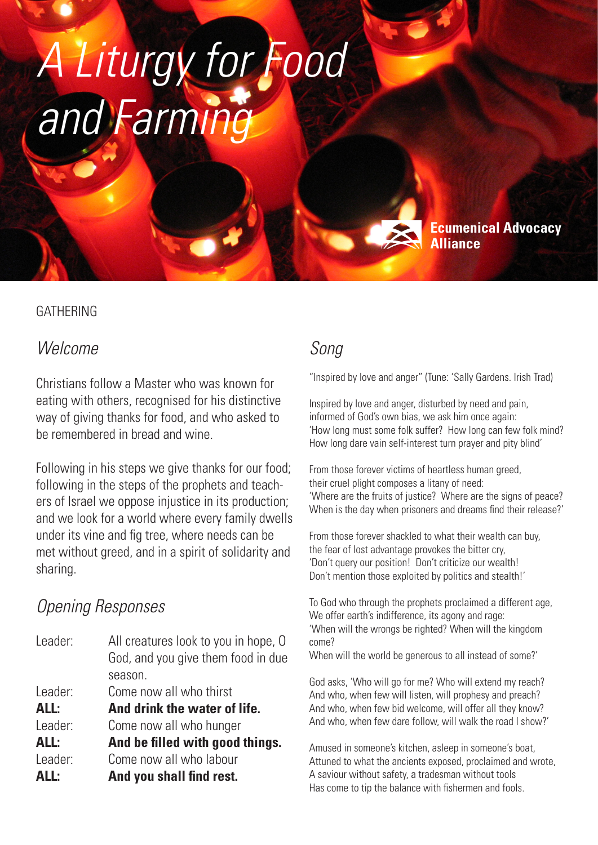# *A Liturgy for Food and Farming*

#### GATHERING

#### *Welcome*

Christians follow a Master who was known for eating with others, recognised for his distinctive way of giving thanks for food, and who asked to be remembered in bread and wine.

Following in his steps we give thanks for our food; following in the steps of the prophets and teachers of Israel we oppose injustice in its production; and we look for a world where every family dwells under its vine and fig tree, where needs can be met without greed, and in a spirit of solidarity and sharing.

#### *Opening Responses*

Leader: All creatures look to you in hope, O God, and you give them food in due season. Leader: Come now all who thirst **ALL: And drink the water of life.** Leader: Come now all who hunger **ALL: And be filled with good things.** Leader: Come now all who labour **ALL: And you shall find rest.**

## *Song*

"Inspired by love and anger" (Tune: 'Sally Gardens. Irish Trad)

**Ecumenical Advocacy**

**Alliance**

Inspired by love and anger, disturbed by need and pain, informed of God's own bias, we ask him once again: 'How long must some folk suffer? How long can few folk mind? How long dare vain self-interest turn prayer and pity blind'

From those forever victims of heartless human greed, their cruel plight composes a litany of need: 'Where are the fruits of justice? Where are the signs of peace? When is the day when prisoners and dreams find their release?'

From those forever shackled to what their wealth can buy, the fear of lost advantage provokes the bitter cry, 'Don't query our position! Don't criticize our wealth! Don't mention those exploited by politics and stealth!'

To God who through the prophets proclaimed a different age, We offer earth's indifference, its agony and rage: 'When will the wrongs be righted? When will the kingdom come?

When will the world be generous to all instead of some?'

God asks, 'Who will go for me? Who will extend my reach? And who, when few will listen, will prophesy and preach? And who, when few bid welcome, will offer all they know? And who, when few dare follow, will walk the road I show?'

Amused in someone's kitchen, asleep in someone's boat, Attuned to what the ancients exposed, proclaimed and wrote, A saviour without safety, a tradesman without tools Has come to tip the balance with fishermen and fools.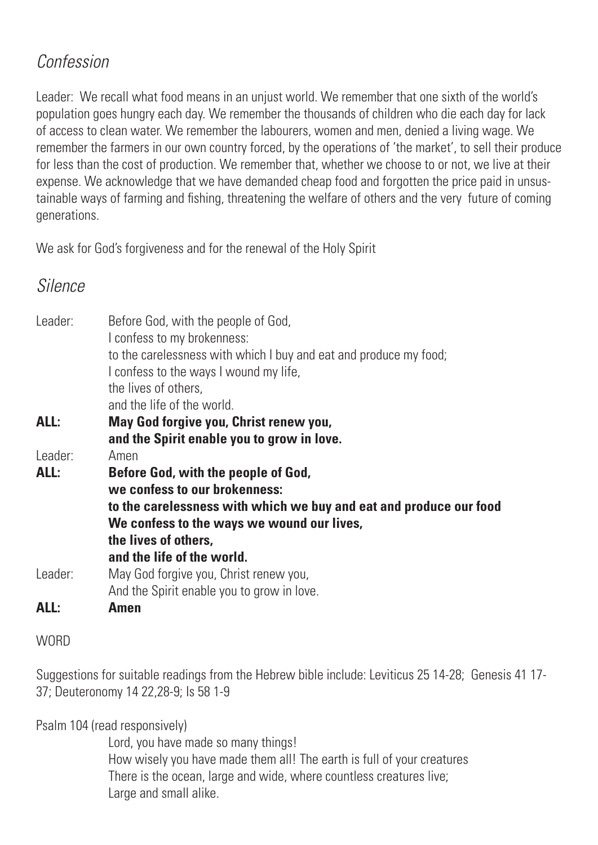# *Confession*

Leader: We recall what food means in an unjust world. We remember that one sixth of the world's population goes hungry each day. We remember the thousands of children who die each day for lack of access to clean water. We remember the labourers, women and men, denied a living wage. We remember the farmers in our own country forced, by the operations of 'the market', to sell their produce for less than the cost of production. We remember that, whether we choose to or not, we live at their expense. We acknowledge that we have demanded cheap food and forgotten the price paid in unsustainable ways of farming and fishing, threatening the welfare of others and the very future of coming generations.

We ask for God's forgiveness and for the renewal of the Holy Spirit

## *Silence*

| Leader: | Before God, with the people of God,<br>I confess to my brokenness:<br>to the carelessness with which I buy and eat and produce my food;<br>I confess to the ways I wound my life,<br>the lives of others,<br>and the life of the world. |
|---------|-----------------------------------------------------------------------------------------------------------------------------------------------------------------------------------------------------------------------------------------|
| ALL:    | May God forgive you, Christ renew you,                                                                                                                                                                                                  |
|         | and the Spirit enable you to grow in love.                                                                                                                                                                                              |
| Leader: | Amen                                                                                                                                                                                                                                    |
| ALL:    | Before God, with the people of God,                                                                                                                                                                                                     |
|         | we confess to our brokenness:                                                                                                                                                                                                           |
|         | to the carelessness with which we buy and eat and produce our food                                                                                                                                                                      |
|         | We confess to the ways we wound our lives,                                                                                                                                                                                              |
|         | the lives of others,                                                                                                                                                                                                                    |
|         | and the life of the world.                                                                                                                                                                                                              |
| Leader: | May God forgive you, Christ renew you,                                                                                                                                                                                                  |
|         | And the Spirit enable you to grow in love.                                                                                                                                                                                              |
| ALL:    | <b>Amen</b>                                                                                                                                                                                                                             |

**WORD** 

Suggestions for suitable readings from the Hebrew bible include: Leviticus 25 14-28; Genesis 41 17- 37; Deuteronomy 14 22,28-9; Is 58 1-9

Psalm 104 (read responsively)

 Lord, you have made so many things! How wisely you have made them all! The earth is full of your creatures There is the ocean, large and wide, where countless creatures live; Large and small alike.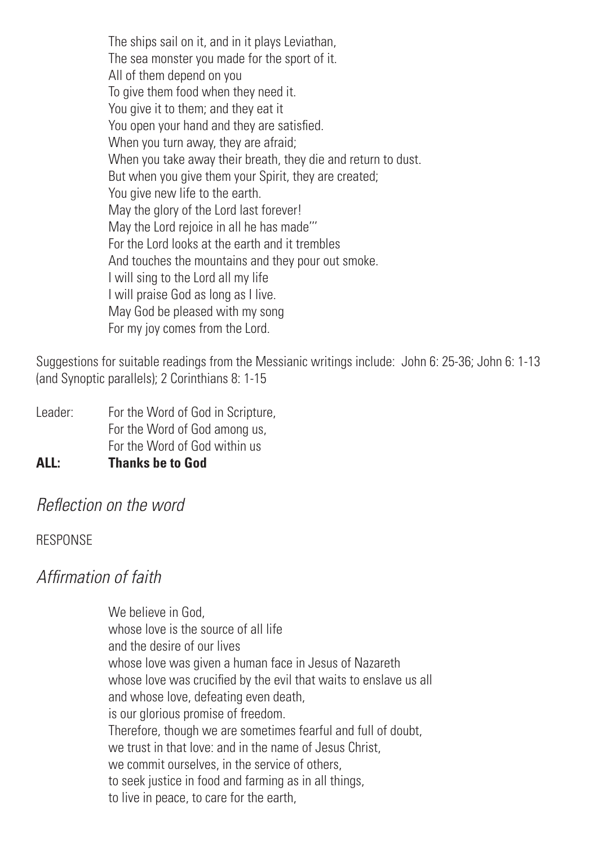The ships sail on it, and in it plays Leviathan, The sea monster you made for the sport of it. All of them depend on you To give them food when they need it. You give it to them; and they eat it You open your hand and they are satisfied. When you turn away, they are afraid; When you take away their breath, they die and return to dust. But when you give them your Spirit, they are created; You give new life to the earth. May the glory of the Lord last forever! May the Lord rejoice in all he has made''' For the Lord looks at the earth and it trembles And touches the mountains and they pour out smoke. I will sing to the Lord all my life I will praise God as long as I live. May God be pleased with my song For my joy comes from the Lord.

Suggestions for suitable readings from the Messianic writings include: John 6: 25-36; John 6: 1-13 (and Synoptic parallels); 2 Corinthians 8: 1-15

Leader: For the Word of God in Scripture, For the Word of God among us, For the Word of God within us

**ALL: Thanks be to God**

### *Reflection on the word*

#### **RESPONSE**

### *Affirmation of faith*

We believe in God whose love is the source of all life and the desire of our lives whose love was given a human face in Jesus of Nazareth whose love was crucified by the evil that waits to enslave us all and whose love, defeating even death, is our glorious promise of freedom. Therefore, though we are sometimes fearful and full of doubt, we trust in that love: and in the name of Jesus Christ, we commit ourselves, in the service of others, to seek justice in food and farming as in all things, to live in peace, to care for the earth,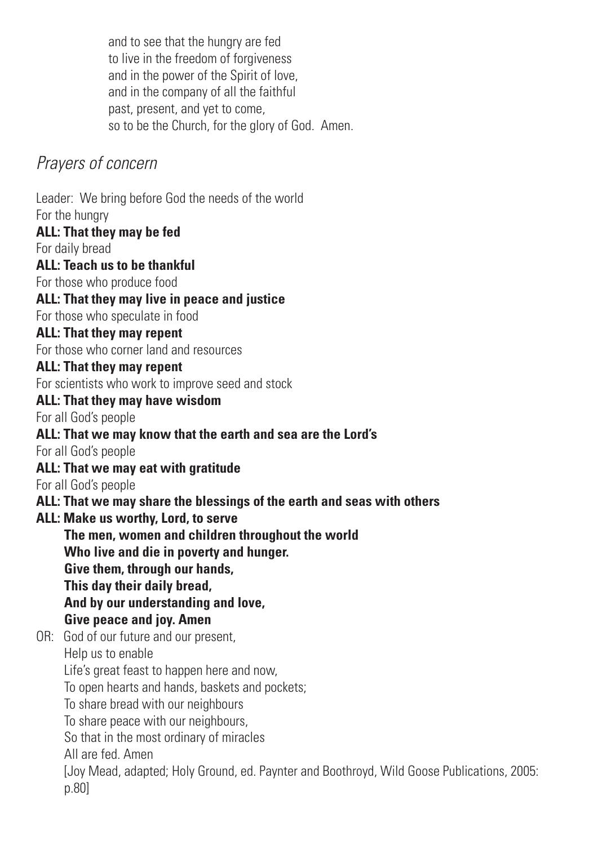and to see that the hungry are fed to live in the freedom of forgiveness and in the power of the Spirit of love, and in the company of all the faithful past, present, and yet to come, so to be the Church, for the glory of God. Amen.

### *Prayers of concern*

Leader: We bring before God the needs of the world For the hungry **ALL: That they may be fed** For daily bread **ALL: Teach us to be thankful** For those who produce food **ALL: That they may live in peace and justice** For those who speculate in food **ALL: That they may repent** For those who corner land and resources **ALL: That they may repent** For scientists who work to improve seed and stock **ALL: That they may have wisdom** For all God's people **ALL: That we may know that the earth and sea are the Lord's**  For all God's people **ALL: That we may eat with gratitude** For all God's people **ALL: That we may share the blessings of the earth and seas with others ALL: Make us worthy, Lord, to serve The men, women and children throughout the world Who live and die in poverty and hunger. Give them, through our hands, This day their daily bread, And by our understanding and love, Give peace and joy. Amen** OR: God of our future and our present, Help us to enable Life's great feast to happen here and now, To open hearts and hands, baskets and pockets; To share bread with our neighbours To share peace with our neighbours, So that in the most ordinary of miracles All are fed. Amen [Joy Mead, adapted; Holy Ground, ed. Paynter and Boothroyd, Wild Goose Publications, 2005: p.80]